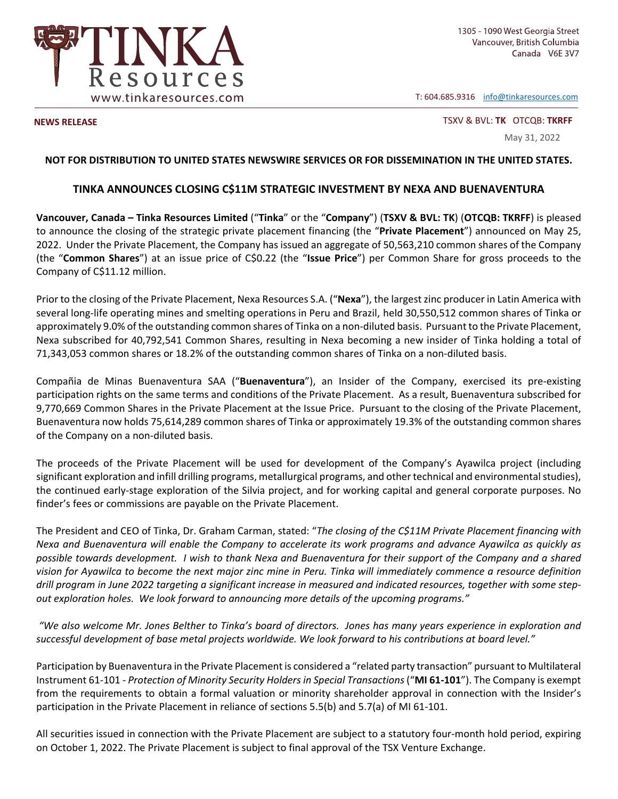

T: 604.685.9316 info@tinkaresources.com

**NEWS RELEASE**  TSXV & BVL: **TK** OTCQB: **TKRFF**

May 31, 2022

## **NOT FOR DISTRIBUTION TO UNITED STATES NEWSWIRE SERVICES OR FOR DISSEMINATION IN THE UNITED STATES.**

## **TINKA ANNOUNCES CLOSING C\$11M STRATEGIC INVESTMENT BY NEXA AND BUENAVENTURA**

**Vancouver, Canada – Tinka Resources Limited** ("**Tinka**" or the "**Company**") (**TSXV & BVL: TK**) (**OTCQB: TKRFF**) is pleased to announce the closing of the strategic private placement financing (the "**Private Placement**") announced on May 25, 2022. Under the Private Placement, the Company has issued an aggregate of 50,563,210 common shares of the Company (the "**Common Shares**") at an issue price of C\$0.22 (the "**Issue Price**") per Common Share for gross proceeds to the Company of C\$11.12 million.

Prior to the closing of the Private Placement, Nexa Resources S.A. ("**Nexa**"), the largest zinc producer in Latin America with several long-life operating mines and smelting operations in Peru and Brazil, held 30,550,512 common shares of Tinka or approximately 9.0% of the outstanding common shares of Tinka on a non-diluted basis. Pursuant to the Private Placement, Nexa subscribed for 40,792,541 Common Shares, resulting in Nexa becoming a new insider of Tinka holding a total of 71,343,053 common shares or 18.2% of the outstanding common shares of Tinka on a non‐diluted basis.

Compañia de Minas Buenaventura SAA ("**Buenaventura**"), an Insider of the Company, exercised its pre‐existing participation rights on the same terms and conditions of the Private Placement. As a result, Buenaventura subscribed for 9,770,669 Common Shares in the Private Placement at the Issue Price. Pursuant to the closing of the Private Placement, Buenaventura now holds 75,614,289 common shares of Tinka or approximately 19.3% of the outstanding common shares of the Company on a non‐diluted basis.

The proceeds of the Private Placement will be used for development of the Company's Ayawilca project (including significant exploration and infill drilling programs, metallurgical programs, and other technical and environmental studies), the continued early‐stage exploration of the Silvia project, and for working capital and general corporate purposes. No finder's fees or commissions are payable on the Private Placement.

The President and CEO of Tinka, Dr. Graham Carman, stated: "*The closing of the C\$11M Private Placement financing with Nexa and Buenaventura will enable the Company to accelerate its work programs and advance Ayawilca as quickly as possible towards development. I wish to thank Nexa and Buenaventura for their support of the Company and a shared vision for Ayawilca to become the next major zinc mine in Peru. Tinka will immediately commence a resource definition drill program in June 2022 targeting a significant increase in measured and indicated resources, together with some step‐ out exploration holes. We look forward to announcing more details of the upcoming programs."* 

 *"We also welcome Mr. Jones Belther to Tinka's board of directors. Jones has many years experience in exploration and successful development of base metal projects worldwide. We look forward to his contributions at board level."* 

Participation by Buenaventura in the Private Placement is considered a "related party transaction" pursuant to Multilateral Instrument 61‐101 ‐ *Protection of Minority Security Holders in Special Transactions* ("**MI 61‐101**"). The Company is exempt from the requirements to obtain a formal valuation or minority shareholder approval in connection with the Insider's participation in the Private Placement in reliance of sections 5.5(b) and 5.7(a) of MI 61‐101.

All securities issued in connection with the Private Placement are subject to a statutory four‐month hold period, expiring on October 1, 2022. The Private Placement is subject to final approval of the TSX Venture Exchange.